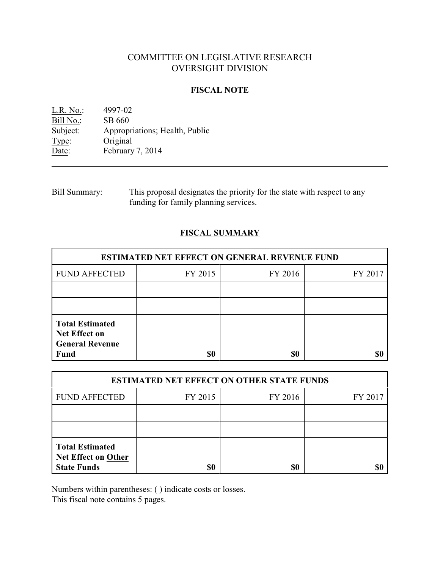# COMMITTEE ON LEGISLATIVE RESEARCH OVERSIGHT DIVISION

#### **FISCAL NOTE**

L.R. No.: 4997-02 Bill No.: SB 660<br>Subject: Appropr Appropriations; Health, Public Type: Original Date: February 7, 2014

Bill Summary: This proposal designates the priority for the state with respect to any funding for family planning services.

## **FISCAL SUMMARY**

| <b>ESTIMATED NET EFFECT ON GENERAL REVENUE FUND</b>                                     |         |         |         |  |
|-----------------------------------------------------------------------------------------|---------|---------|---------|--|
| <b>FUND AFFECTED</b>                                                                    | FY 2015 | FY 2016 | FY 2017 |  |
|                                                                                         |         |         |         |  |
|                                                                                         |         |         |         |  |
| <b>Total Estimated</b><br><b>Net Effect on</b><br><b>General Revenue</b><br><b>Fund</b> | \$0     | \$0     |         |  |

| <b>ESTIMATED NET EFFECT ON OTHER STATE FUNDS</b>                           |         |         |         |  |
|----------------------------------------------------------------------------|---------|---------|---------|--|
| <b>FUND AFFECTED</b>                                                       | FY 2015 | FY 2016 | FY 2017 |  |
|                                                                            |         |         |         |  |
|                                                                            |         |         |         |  |
| <b>Total Estimated</b><br><b>Net Effect on Other</b><br><b>State Funds</b> | \$0     | \$0     |         |  |

Numbers within parentheses: ( ) indicate costs or losses.

This fiscal note contains 5 pages.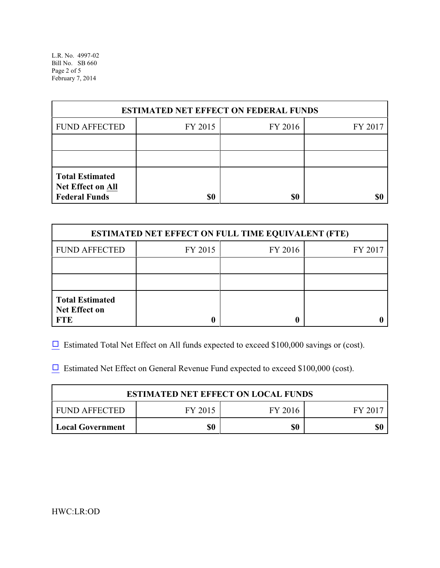L.R. No. 4997-02 Bill No. SB 660 Page 2 of 5 February 7, 2014

| <b>ESTIMATED NET EFFECT ON FEDERAL FUNDS</b>                        |         |         |         |  |
|---------------------------------------------------------------------|---------|---------|---------|--|
| <b>FUND AFFECTED</b>                                                | FY 2015 | FY 2016 | FY 2017 |  |
|                                                                     |         |         |         |  |
|                                                                     |         |         |         |  |
| <b>Total Estimated</b><br>Net Effect on All<br><b>Federal Funds</b> | \$0     | \$0     |         |  |

| <b>ESTIMATED NET EFFECT ON FULL TIME EQUIVALENT (FTE)</b>    |         |         |         |  |
|--------------------------------------------------------------|---------|---------|---------|--|
| <b>FUND AFFECTED</b>                                         | FY 2015 | FY 2016 | FY 2017 |  |
|                                                              |         |         |         |  |
|                                                              |         |         |         |  |
| <b>Total Estimated</b><br><b>Net Effect on</b><br><b>FTE</b> |         |         |         |  |

 $\Box$  Estimated Total Net Effect on All funds expected to exceed \$100,000 savings or (cost).

 $\Box$  Estimated Net Effect on General Revenue Fund expected to exceed \$100,000 (cost).

| <b>ESTIMATED NET EFFECT ON LOCAL FUNDS</b> |         |         |        |  |
|--------------------------------------------|---------|---------|--------|--|
| FUND AFFECTED                              | FY 2015 | FY 2016 | FY 201 |  |
| <b>Local Government</b>                    | \$0     | \$0     | \$0    |  |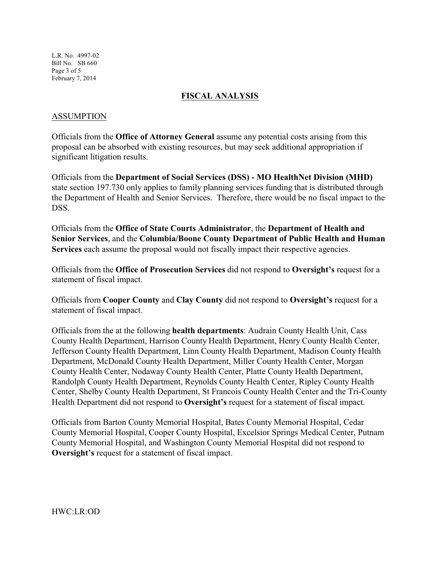L.R. No. 4997-02 Bill No. SB 660 Page 3 of 5 February 7, 2014

#### **FISCAL ANALYSIS**

#### ASSUMPTION

Officials from the **Office of Attorney General** assume any potential costs arising from this proposal can be absorbed with existing resources, but may seek additional appropriation if significant litigation results.

Officials from the **Department of Social Services (DSS) - MO HealthNet Division (MHD)** state section 197.730 only applies to family planning services funding that is distributed through the Department of Health and Senior Services. Therefore, there would be no fiscal impact to the DSS.

Officials from the **Office of State Courts Administrator**, the **Department of Health and Senior Services**, and the **Columbia/Boone County Department of Public Health and Human Services** each assume the proposal would not fiscally impact their respective agencies.

Officials from the **Office of Prosecution Services** did not respond to **Oversight's** request for a statement of fiscal impact.

Officials from **Cooper County** and **Clay County** did not respond to **Oversight's** request for a statement of fiscal impact.

Officials from the at the following **health departments**: Audrain County Health Unit, Cass County Health Department, Harrison County Health Department, Henry County Health Center, Jefferson County Health Department, Linn County Health Department, Madison County Health Department, McDonald County Health Department, Miller County Health Center, Morgan County Health Center, Nodaway County Health Center, Platte County Health Department, Randolph County Health Department, Reynolds County Health Center, Ripley County Health Center, Shelby County Health Department, St Francois County Health Center and the Tri-County Health Department did not respond to **Oversight's** request for a statement of fiscal impact.

Officials from Barton County Memorial Hospital, Bates County Memorial Hospital, Cedar County Memorial Hospital, Cooper County Hospital, Excelsior Springs Medical Center, Putnam County Memorial Hospital, and Washington County Memorial Hospital did not respond to **Oversight's** request for a statement of fiscal impact.

HWC:LR:OD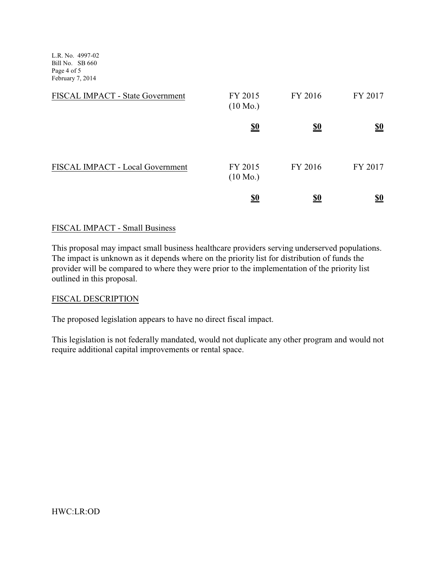L.R. No. 4997-02 Bill No. SB 660 Page 4 of 5 February 7, 2014

| FISCAL IMPACT - State Government | FY 2015<br>$(10 \text{ Mo.})$ | FY 2016    | FY 2017                       |
|----------------------------------|-------------------------------|------------|-------------------------------|
|                                  | <u>\$0</u>                    | <u>\$0</u> | $\underline{\underline{\$0}}$ |
| FISCAL IMPACT - Local Government | FY 2015<br>$(10 \text{ Mo.})$ | FY 2016    | FY 2017                       |
|                                  | <u>\$0</u>                    |            | <u>\$0</u>                    |

### FISCAL IMPACT - Small Business

This proposal may impact small business healthcare providers serving underserved populations. The impact is unknown as it depends where on the priority list for distribution of funds the provider will be compared to where they were prior to the implementation of the priority list outlined in this proposal.

#### FISCAL DESCRIPTION

The proposed legislation appears to have no direct fiscal impact.

This legislation is not federally mandated, would not duplicate any other program and would not require additional capital improvements or rental space.